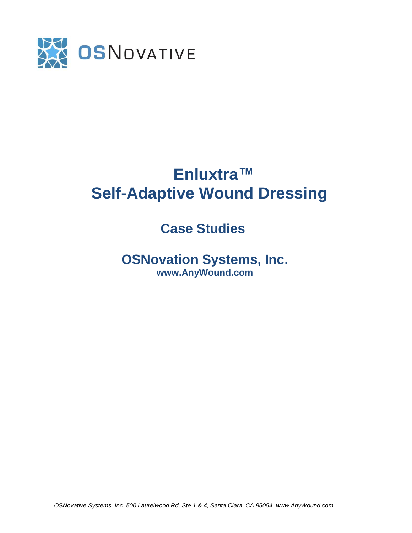

# **Enluxtra™ Self-Adaptive Wound Dressing**

## **Case Studies**

 **OSNovation Systems, Inc. www.AnyWound.com** 

*OSNovative Systems, Inc. 500 Laurelwood Rd, Ste 1 & 4, Santa Clara, CA 95054 www.AnyWound.com*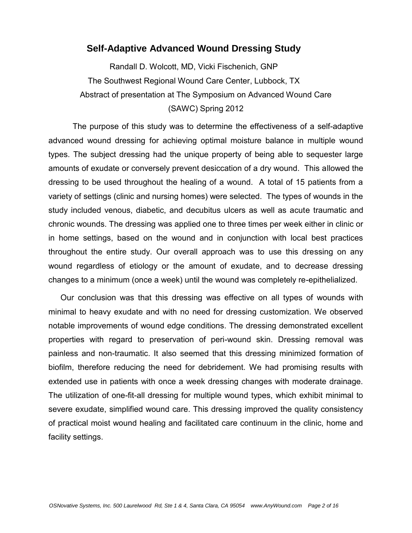#### **Self-Adaptive Advanced Wound Dressing Study**

Randall D. Wolcott, MD, Vicki Fischenich, GNP The Southwest Regional Wound Care Center, Lubbock, TX Abstract of presentation at The Symposium on Advanced Wound Care (SAWC) Spring 2012

The purpose of this study was to determine the effectiveness of a self-adaptive advanced wound dressing for achieving optimal moisture balance in multiple wound types. The subject dressing had the unique property of being able to sequester large amounts of exudate or conversely prevent desiccation of a dry wound. This allowed the dressing to be used throughout the healing of a wound. A total of 15 patients from a variety of settings (clinic and nursing homes) were selected. The types of wounds in the study included venous, diabetic, and decubitus ulcers as well as acute traumatic and chronic wounds. The dressing was applied one to three times per week either in clinic or in home settings, based on the wound and in conjunction with local best practices throughout the entire study. Our overall approach was to use this dressing on any wound regardless of etiology or the amount of exudate, and to decrease dressing changes to a minimum (once a week) until the wound was completely re-epithelialized.

Our conclusion was that this dressing was effective on all types of wounds with minimal to heavy exudate and with no need for dressing customization. We observed notable improvements of wound edge conditions. The dressing demonstrated excellent properties with regard to preservation of peri-wound skin. Dressing removal was painless and non-traumatic. It also seemed that this dressing minimized formation of biofilm, therefore reducing the need for debridement. We had promising results with extended use in patients with once a week dressing changes with moderate drainage. The utilization of one-fit-all dressing for multiple wound types, which exhibit minimal to severe exudate, simplified wound care. This dressing improved the quality consistency of practical moist wound healing and facilitated care continuum in the clinic, home and facility settings.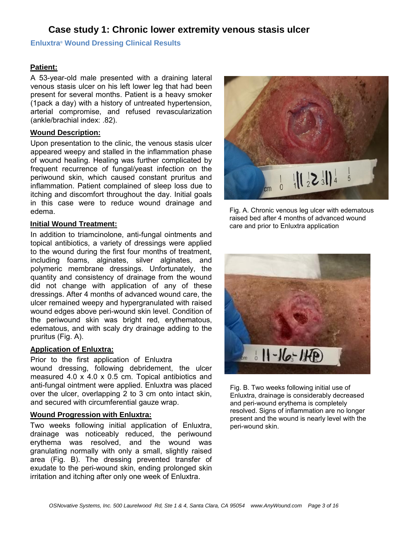## **Case study 1: Chronic lower extremity venous stasis ulcer**

#### **Enluxtra® Wound Dressing Clinical Results**

#### **Patient:**

A 53-year-old male presented with a draining lateral venous stasis ulcer on his left lower leg that had been present for several months. Patient is a heavy smoker (1pack a day) with a history of untreated hypertension, arterial compromise, and refused revascularization (ankle/brachial index: .82).

#### **Wound Description:**

Upon presentation to the clinic, the venous stasis ulcer appeared weepy and stalled in the inflammation phase of wound healing. Healing was further complicated by frequent recurrence of fungal/yeast infection on the periwound skin, which caused constant pruritus and inflammation. Patient complained of sleep loss due to itching and discomfort throughout the day. Initial goals in this case were to reduce wound drainage and edema.

#### **Initial Wound Treatment:**

In addition to triamcinolone, anti-fungal ointments and topical antibiotics, a variety of dressings were applied to the wound during the first four months of treatment, including foams, alginates, silver alginates, and polymeric membrane dressings. Unfortunately, the quantity and consistency of drainage from the wound did not change with application of any of these dressings. After 4 months of advanced wound care, the ulcer remained weepy and hypergranulated with raised wound edges above peri-wound skin level. Condition of the periwound skin was bright red, erythematous, edematous, and with scaly dry drainage adding to the pruritus (Fig. A).

#### **Application of Enluxtra:**

Prior to the first application of Enluxtra wound dressing, following debridement, the ulcer measured 4.0 x 4.0 x 0.5 cm. Topical antibiotics and anti-fungal ointment were applied. Enluxtra was placed over the ulcer, overlapping 2 to 3 cm onto intact skin, and secured with circumferential gauze wrap.

#### **Wound Progression with Enluxtra:**

Two weeks following initial application of Enluxtra, drainage was noticeably reduced, the periwound erythema was resolved, and the wound was granulating normally with only a small, slightly raised area (Fig. B). The dressing prevented transfer of exudate to the peri-wound skin, ending prolonged skin irritation and itching after only one week of Enluxtra.



Fig. A. Chronic venous leg ulcer with edematous raised bed after 4 months of advanced wound care and prior to Enluxtra application



Fig. B. Two weeks following initial use of Enluxtra, drainage is considerably decreased and peri-wound erythema is completely resolved. Signs of inflammation are no longer present and the wound is nearly level with the peri-wound skin.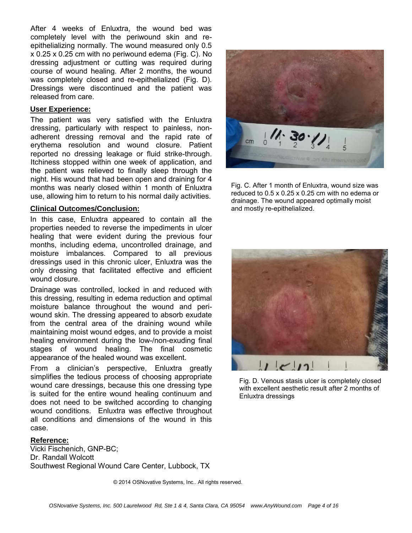After 4 weeks of Enluxtra, the wound bed was completely level with the periwound skin and reepithelializing normally. The wound measured only 0.5 x 0.25 x 0.25 cm with no periwound edema (Fig. C). No dressing adjustment or cutting was required during course of wound healing. After 2 months, the wound was completely closed and re-epithelialized (Fig. D). Dressings were discontinued and the patient was released from care.

#### **User Experience:**

The patient was very satisfied with the Enluxtra dressing, particularly with respect to painless, nonadherent dressing removal and the rapid rate of erythema resolution and wound closure. Patient reported no dressing leakage or fluid strike-through. Itchiness stopped within one week of application, and the patient was relieved to finally sleep through the night. His wound that had been open and draining for 4 months was nearly closed within 1 month of Enluxtra use, allowing him to return to his normal daily activities.

#### **Clinical Outcomes/Conclusion:**

In this case, Enluxtra appeared to contain all the properties needed to reverse the impediments in ulcer healing that were evident during the previous four months, including edema, uncontrolled drainage, and moisture imbalances. Compared to all previous dressings used in this chronic ulcer, Enluxtra was the only dressing that facilitated effective and efficient wound closure.

Drainage was controlled, locked in and reduced with this dressing, resulting in edema reduction and optimal moisture balance throughout the wound and periwound skin. The dressing appeared to absorb exudate from the central area of the draining wound while maintaining moist wound edges, and to provide a moist healing environment during the low-/non-exuding final stages of wound healing. The final cosmetic appearance of the healed wound was excellent.

From a clinician's perspective, Enluxtra greatly simplifies the tedious process of choosing appropriate wound care dressings, because this one dressing type is suited for the entire wound healing continuum and does not need to be switched according to changing wound conditions. Enluxtra was effective throughout all conditions and dimensions of the wound in this case.

#### **Reference:**

Vicki Fischenich, GNP-BC; Dr. Randall Wolcott Southwest Regional Wound Care Center, Lubbock, TX



Fig. C. After 1 month of Enluxtra, wound size was **D** reduced to 0.5 x 0.25 x 0.25 cm with no edema or drainage. The wound appeared optimally moist and mostly re-epithelialized.



Fig. D. Venous stasis ulcer is completely closed with excellent aesthetic result after 2 months of Enluxtra dressings

© 2014 OSNovative Systems, Inc.. All rights reserved.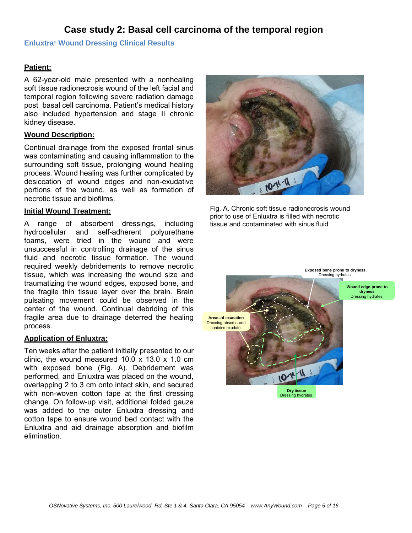## **Case study 2: Basal cell carcinoma of the temporal region**

#### **Enluxtra® Wound Dressing Clinical Results**

#### **Patient:**

A 62-year-old male presented with a nonhealing soft tissue radionecrosis wound of the left facial and temporal region following severe radiation damage post basal cell carcinoma. Patient's medical history also included hypertension and stage II chronic kidney disease.

#### **Wound Description:**

Continual drainage from the exposed frontal sinus was contaminating and causing inflammation to the surrounding soft tissue, prolonging wound healing process. Wound healing was further complicated by desiccation of wound edges and non-exudative portions of the wound, as well as formation of necrotic tissue and biofilms.

#### **Initial Wound Treatment:**

A range of absorbent dressings, including hydrocellular and self-adherent polyurethane foams, were tried in the wound and were unsuccessful in controlling drainage of the sinus fluid and necrotic tissue formation. The wound required weekly debridements to remove necrotic tissue, which was increasing the wound size and traumatizing the wound edges, exposed bone, and the fragile thin tissue layer over the brain. Brain pulsating movement could be observed in the center of the wound. Continual debriding of this fragile area due to drainage deterred the healing process.

#### **Application of Enluxtra:**

Ten weeks after the patient initially presented to our clinic, the wound measured  $10.0 \times 13.0 \times 1.0$  cm with exposed bone (Fig. A). Debridement was performed, and Enluxtra was placed on the wound, overlapping 2 to 3 cm onto intact skin, and secured with non-woven cotton tape at the first dressing change. On follow-up visit, additional folded gauze was added to the outer Enluxtra dressing and cotton tape to ensure wound bed contact with the Enluxtra and aid drainage absorption and biofilm elimination.



Fig. A. Chronic soft tissue radionecrosis wound prior to use of Enluxtra is filled with necrotic tissue and contaminated with sinus fluid

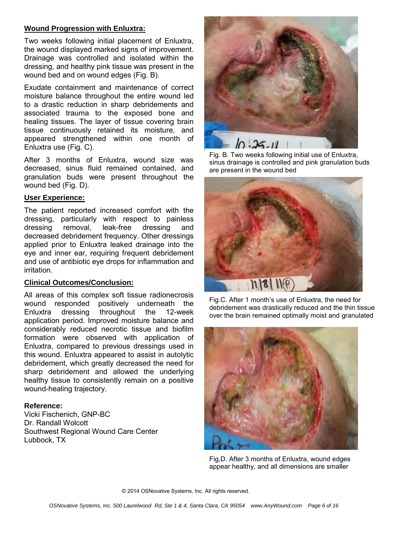#### **Wound Progression with Enluxtra:**

Two weeks following initial placement of Enluxtra, the wound displayed marked signs of improvement. Drainage was controlled and isolated within the dressing, and healthy pink tissue was present in the wound bed and on wound edges (Fig. B).

Exudate containment and maintenance of correct moisture balance throughout the entire wound led to a drastic reduction in sharp debridements and associated trauma to the exposed bone and healing tissues. The layer of tissue covering brain tissue continuously retained its moisture, and appeared strengthened within one month of Enluxtra use (Fig. C).

After 3 months of Enluxtra, wound size was decreased, sinus fluid remained contained, and granulation buds were present throughout the wound bed (Fig. D).

#### **User Experience:**

The patient reported increased comfort with the dressing, particularly with respect to painless dressing removal, leak-free dressing and decreased debridement frequency. Other dressings applied prior to Enluxtra leaked drainage into the eye and inner ear, requiring frequent debridement and use of antibiotic eye drops for inflammation and irritation.

#### **Clinical Outcomes/Conclusion:**

All areas of this complex soft tissue radionecrosis wound responded positively underneath the Enluxtra dressing throughout the 12-week application period. Improved moisture balance and considerably reduced necrotic tissue and biofilm formation were observed with application of Enluxtra, compared to previous dressings used in this wound. Enluxtra appeared to assist in autolytic debridement, which greatly decreased the need for sharp debridement and allowed the underlying healthy tissue to consistently remain on a positive wound-healing trajectory.

#### **Reference:**

Vicki Fischenich, GNP-BC Dr. Randall Wolcott Southwest Regional Wound Care Center Lubbock, TX



Fig. B. Two weeks following initial use of Enluxtra, sinus drainage is controlled and pink granulation buds are present in the wound bed







Fig,D. After 3 months of Enluxtra, wound edges appear healthy, and all dimensions are smaller

© 2014 OSNovative Systems, Inc. All rights reserved.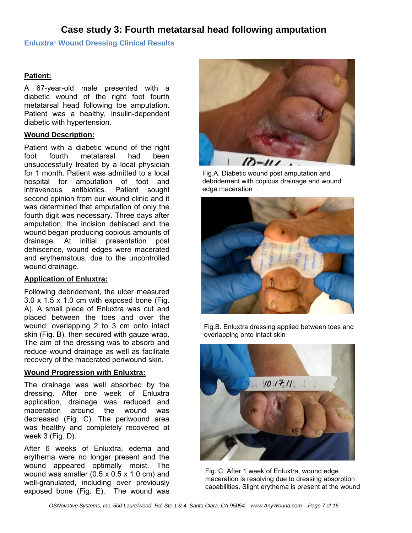## **Case study 3: Fourth metatarsal head following amputation**

#### **Enluxtra® Wound Dressing Clinical Results**

#### **Patient:**

A 67-year-old male presented with a diabetic wound of the right foot fourth metatarsal head following toe amputation. Patient was a healthy, insulin-dependent diabetic with hypertension.

#### **Wound Description:**

Patient with a diabetic wound of the right foot fourth metatarsal had been unsuccessfully treated by a local physician for 1 month. Patient was admitted to a local hospital for amputation of foot and intravenous antibiotics. Patient sought second opinion from our wound clinic and it was determined that amputation of only the fourth digit was necessary. Three days after amputation, the incision dehisced and the wound began producing copious amounts of drainage. At initial presentation post dehiscence, wound edges were macerated and erythematous, due to the uncontrolled wound drainage.

#### **Application of Enluxtra:**

Following debridement, the ulcer measured  $3.0 \times 1.5 \times 1.0$  cm with exposed bone (Fig. A). A small piece of Enluxtra was cut and placed between the toes and over the wound, overlapping 2 to 3 cm onto intact skin (Fig. B), then secured with gauze wrap. The aim of the dressing was to absorb and reduce wound drainage as well as facilitate recovery of the macerated periwound skin.

#### **Wound Progression with Enluxtra:**

The drainage was well absorbed by the dressing. After one week of Enluxtra application, drainage was reduced and<br>maceration around the wound was maceration around the wound was decreased (Fig. C). The periwound area was healthy and completely recovered at week 3 (Fig. D).

After 6 weeks of Enluxtra, edema and erythema were no longer present and the wound appeared optimally moist. The wound was smaller (0.5 x 0.5 x 1.0 cm) and well-granulated, including over previously exposed bone (Fig. E). The wound was



Fig.A. Diabetic wound post amputation and debridement with copious drainage and wound edge maceration



Fig.B. Enluxtra dressing applied between toes and overlapping onto intact skin



Fig. C. After 1 week of Enluxtra, wound edge maceration is resolving due to dressing absorption capabilities. Slight erythema is present at the wound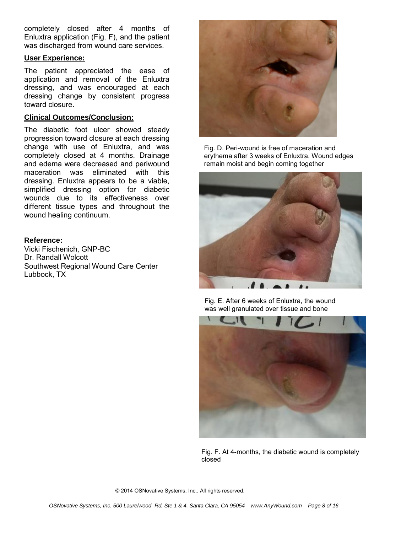completely closed after 4 months of Enluxtra application (Fig. F), and the patient was discharged from wound care services.

#### **User Experience:**

The patient appreciated the ease of application and removal of the Enluxtra dressing, and was encouraged at each dressing change by consistent progress toward closure.

#### **Clinical Outcomes/Conclusion:**

The diabetic foot ulcer showed steady progression toward closure at each dressing change with use of Enluxtra, and was completely closed at 4 months. Drainage and edema were decreased and periwound maceration was eliminated with this dressing. Enluxtra appears to be a viable, simplified dressing option for diabetic wounds due to its effectiveness over different tissue types and throughout the wound healing continuum.

#### **Reference:**

Vicki Fischenich, GNP-BC Dr. Randall Wolcott Southwest Regional Wound Care Center Lubbock, TX



Fig. D. Peri-wound is free of maceration and erythema after 3 weeks of Enluxtra. Wound edges remain moist and begin coming together



Fig. E. After 6 weeks of Enluxtra, the wound was well granulated over tissue and bone



Fig. F. At 4-months, the diabetic wound is completely closed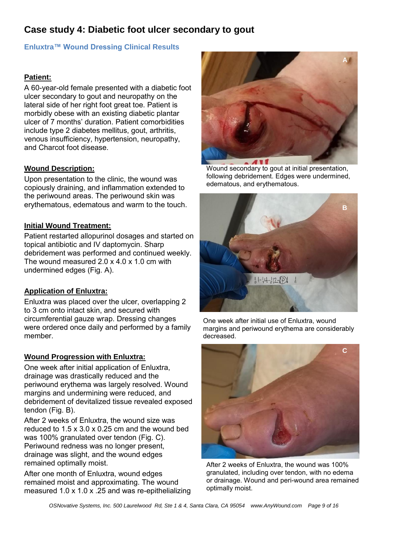## **Case study 4: Diabetic foot ulcer secondary to gout**

#### **Enluxtra™ Wound Dressing Clinical Results**

#### **Patient:**

A 60-year-old female presented with a diabetic foot ulcer secondary to gout and neuropathy on the lateral side of her right foot great toe. Patient is morbidly obese with an existing diabetic plantar ulcer of 7 months' duration. Patient comorbidities include type 2 diabetes mellitus, gout, arthritis, venous insufficiency, hypertension, neuropathy, and Charcot foot disease.

#### **Wound Description:**

Upon presentation to the clinic, the wound was copiously draining, and inflammation extended to the periwound areas. The periwound skin was erythematous, edematous and warm to the touch.

#### **Initial Wound Treatment:**

Patient restarted allopurinol dosages and started on topical antibiotic and IV daptomycin. Sharp debridement was performed and continued weekly. The wound measured 2.0 x 4.0 x 1.0 cm with undermined edges (Fig. A).

#### **Application of Enluxtra:**

Enluxtra was placed over the ulcer, overlapping 2 to 3 cm onto intact skin, and secured with circumferential gauze wrap. Dressing changes were ordered once daily and performed by a family member.

#### **Wound Progression with Enluxtra:**

One week after initial application of Enluxtra, drainage was drastically reduced and the periwound erythema was largely resolved. Wound margins and undermining were reduced, and debridement of devitalized tissue revealed exposed tendon (Fig. B).

After 2 weeks of Enluxtra, the wound size was reduced to 1.5 x 3.0 x 0.25 cm and the wound bed was 100% granulated over tendon (Fig. C). Periwound redness was no longer present, drainage was slight, and the wound edges remained optimally moist.

After one month of Enluxtra, wound edges remained moist and approximating. The wound measured 1.0 x 1.0 x .25 and was re-epithelializing



Wound secondary to gout at initial presentation, following debridement. Edges were undermined, edematous, and erythematous.



One week after initial use of Enluxtra, wound margins and periwound erythema are considerably decreased.



After 2 weeks of Enluxtra, the wound was 100% granulated, including over tendon, with no edema or drainage. Wound and peri-wound area remained optimally moist.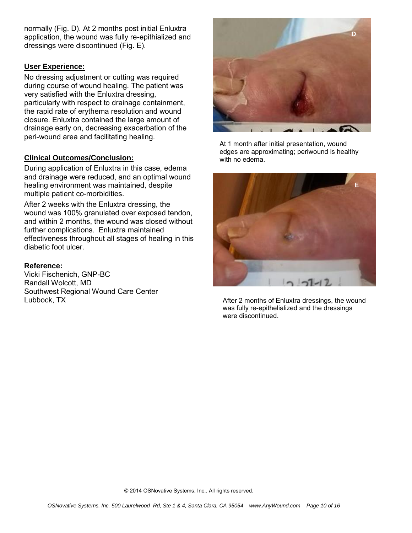normally (Fig. D). At 2 months post initial Enluxtra application, the wound was fully re-epithialized and dressings were discontinued (Fig. E).

#### **User Experience:**

No dressing adjustment or cutting was required during course of wound healing. The patient was very satisfied with the Enluxtra dressing, particularly with respect to drainage containment, the rapid rate of erythema resolution and wound closure. Enluxtra contained the large amount of drainage early on, decreasing exacerbation of the peri-wound area and facilitating healing.

#### **Clinical Outcomes/Conclusion:**

During application of Enluxtra in this case, edema and drainage were reduced, and an optimal wound healing environment was maintained, despite multiple patient co-morbidities.

After 2 weeks with the Enluxtra dressing, the wound was 100% granulated over exposed tendon, and within 2 months, the wound was closed without further complications. Enluxtra maintained effectiveness throughout all stages of healing in this diabetic foot ulcer.

#### **Reference:**

Vicki Fischenich, GNP-BC Randall Wolcott, MD Southwest Regional Wound Care Center Lubbock, TX



At 1 month after initial presentation, wound edges are approximating; periwound is healthy with no edema.



After 2 months of Enluxtra dressings, the wound was fully re-epithelialized and the dressings were discontinued.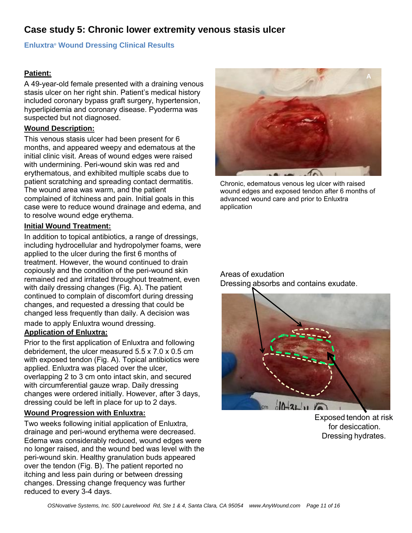## **Case study 5: Chronic lower extremity venous stasis ulcer**

#### **Enluxtra® Wound Dressing Clinical Results**

#### **Patient:**

A 49-year-old female presented with a draining venous stasis ulcer on her right shin. Patient's medical history included coronary bypass graft surgery, hypertension, hyperlipidemia and coronary disease. Pyoderma was suspected but not diagnosed.

#### **Wound Description:**

This venous stasis ulcer had been present for 6 months, and appeared weepy and edematous at the initial clinic visit. Areas of wound edges were raised with undermining. Peri-wound skin was red and erythematous, and exhibited multiple scabs due to patient scratching and spreading contact dermatitis. The wound area was warm, and the patient complained of itchiness and pain. Initial goals in this case were to reduce wound drainage and edema, and to resolve wound edge erythema.

#### **Initial Wound Treatment:**

In addition to topical antibiotics, a range of dressings, including hydrocellular and hydropolymer foams, were applied to the ulcer during the first 6 months of treatment. However, the wound continued to drain copiously and the condition of the peri-wound skin remained red and irritated throughout treatment, even with daily dressing changes (Fig. A). The patient continued to complain of discomfort during dressing changes, and requested a dressing that could be changed less frequently than daily. A decision was made to apply Enluxtra wound dressing.

#### **Application of Enluxtra:**

Prior to the first application of Enluxtra and following debridement, the ulcer measured 5.5 x 7.0 x 0.5 cm with exposed tendon (Fig. A). Topical antibiotics were applied. Enluxtra was placed over the ulcer, overlapping 2 to 3 cm onto intact skin, and secured with circumferential gauze wrap. Daily dressing changes were ordered initially. However, after 3 days, dressing could be left in place for up to 2 days.

#### **Wound Progression with Enluxtra:**

Two weeks following initial application of Enluxtra, drainage and peri-wound erythema were decreased. Edema was considerably reduced, wound edges were no longer raised, and the wound bed was level with the peri-wound skin. Healthy granulation buds appeared over the tendon (Fig. B). The patient reported no itching and less pain during or between dressing changes. Dressing change frequency was further reduced to every 3-4 days.



Chronic, edematous venous leg ulcer with raised wound edges and exposed tendon after 6 months of advanced wound care and prior to Enluxtra application

#### Areas of exudation Dressing absorbs and contains exudate.



Exposed tendon at risk for desiccation. Dressing hydrates.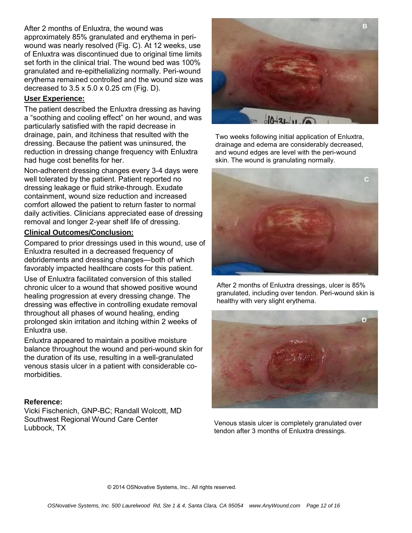#### After 2 months of Enluxtra, the wound was

approximately 85% granulated and erythema in periwound was nearly resolved (Fig. C). At 12 weeks, use of Enluxtra was discontinued due to original time limits set forth in the clinical trial. The wound bed was 100% granulated and re-epithelializing normally. Peri-wound erythema remained controlled and the wound size was decreased to 3.5 x 5.0 x 0.25 cm (Fig. D).

#### **User Experience:**

The patient described the Enluxtra dressing as having a "soothing and cooling effect" on her wound, and was particularly satisfied with the rapid decrease in drainage, pain, and itchiness that resulted with the dressing. Because the patient was uninsured, the reduction in dressing change frequency with Enluxtra had huge cost benefits for her.

Non-adherent dressing changes every 3-4 days were well tolerated by the patient. Patient reported no dressing leakage or fluid strike-through. Exudate containment, wound size reduction and increased comfort allowed the patient to return faster to normal daily activities. Clinicians appreciated ease of dressing removal and longer 2-year shelf life of dressing.

#### **Clinical Outcomes/Conclusion:**

Compared to prior dressings used in this wound, use of Enluxtra resulted in a decreased frequency of debridements and dressing changes—both of which favorably impacted healthcare costs for this patient.

Use of Enluxtra facilitated conversion of this stalled chronic ulcer to a wound that showed positive wound healing progression at every dressing change. The dressing was effective in controlling exudate removal throughout all phases of wound healing, ending prolonged skin irritation and itching within 2 weeks of Enluxtra use.

Enluxtra appeared to maintain a positive moisture balance throughout the wound and peri-wound skin for the duration of its use, resulting in a well-granulated venous stasis ulcer in a patient with considerable comorbidities.

#### **Reference:**

Vicki Fischenich, GNP-BC; Randall Wolcott, MD Southwest Regional Wound Care Center Lubbock, TX



Two weeks following initial application of Enluxtra, drainage and edema are considerably decreased, and wound edges are level with the peri-wound skin. The wound is granulating normally.



After 2 months of Enluxtra dressings, ulcer is 85% granulated, including over tendon. Peri-wound skin is healthy with very slight erythema.



Venous stasis ulcer is completely granulated over tendon after 3 months of Enluxtra dressings.

© 2014 OSNovative Systems, Inc.. All rights reserved.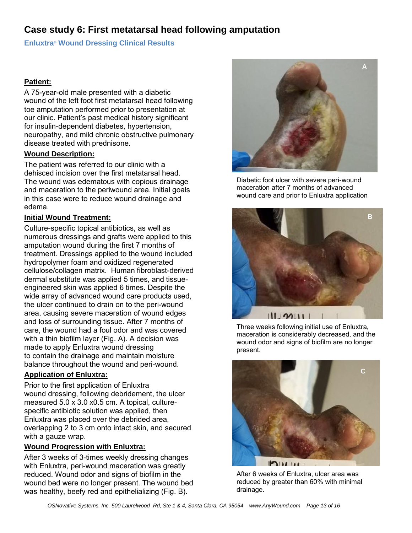## **Case study 6: First metatarsal head following amputation**

#### **Enluxtra® Wound Dressing Clinical Results**

#### **Patient:**

A 75-year-old male presented with a diabetic wound of the left foot first metatarsal head following toe amputation performed prior to presentation at our clinic. Patient's past medical history significant for insulin-dependent diabetes, hypertension, neuropathy, and mild chronic obstructive pulmonary disease treated with prednisone.

#### **Wound Description:**

The patient was referred to our clinic with a dehisced incision over the first metatarsal head. The wound was edematous with copious drainage and maceration to the periwound area. Initial goals in this case were to reduce wound drainage and edema.

#### **Initial Wound Treatment:**

Culture-specific topical antibiotics, as well as numerous dressings and grafts were applied to this amputation wound during the first 7 months of treatment. Dressings applied to the wound included hydropolymer foam and oxidized regenerated cellulose/collagen matrix. Human fibroblast-derived dermal substitute was applied 5 times, and tissueengineered skin was applied 6 times. Despite the wide array of advanced wound care products used, the ulcer continued to drain on to the peri-wound area, causing severe maceration of wound edges and loss of surrounding tissue. After 7 months of care, the wound had a foul odor and was covered with a thin biofilm layer (Fig. A). A decision was made to apply Enluxtra wound dressing to contain the drainage and maintain moisture balance throughout the wound and peri-wound.

#### **Application of Enluxtra:**

Prior to the first application of Enluxtra wound dressing, following debridement, the ulcer measured 5.0 x 3.0 x0.5 cm. A topical, culturespecific antibiotic solution was applied, then Enluxtra was placed over the debrided area, overlapping 2 to 3 cm onto intact skin, and secured with a gauze wrap.

#### **Wound Progression with Enluxtra:**

After 3 weeks of 3-times weekly dressing changes with Enluxtra, peri-wound maceration was greatly reduced. Wound odor and signs of biofilm in the wound bed were no longer present. The wound bed was healthy, beefy red and epithelializing (Fig. B).



Diabetic foot ulcer with severe peri-wound maceration after 7 months of advanced wound care and prior to Enluxtra application



Three weeks following initial use of Enluxtra, maceration is considerably decreased, and the wound odor and signs of biofilm are no longer present.



After 6 weeks of Enluxtra, ulcer area was reduced by greater than 60% with minimal drainage.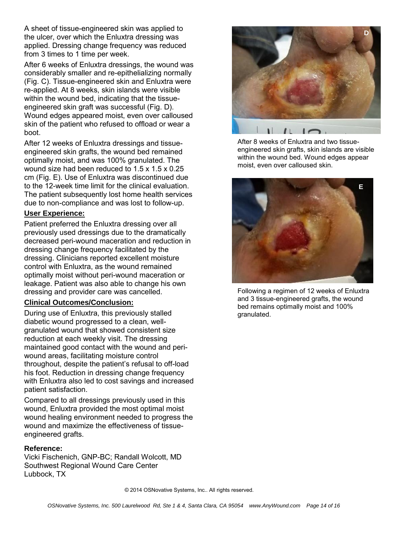A sheet of tissue-engineered skin was applied to the ulcer, over which the Enluxtra dressing was applied. Dressing change frequency was reduced from 3 times to 1 time per week.

After 6 weeks of Enluxtra dressings, the wound was considerably smaller and re-epithelializing normally (Fig. C). Tissue-engineered skin and Enluxtra were re-applied. At 8 weeks, skin islands were visible within the wound bed, indicating that the tissueengineered skin graft was successful (Fig. D). Wound edges appeared moist, even over calloused skin of the patient who refused to offload or wear a boot.

After 12 weeks of Enluxtra dressings and tissueengineered skin grafts, the wound bed remained optimally moist, and was 100% granulated. The wound size had been reduced to 1.5 x 1.5 x 0.25 cm (Fig. E). Use of Enluxtra was discontinued due to the 12-week time limit for the clinical evaluation. The patient subsequently lost home health services due to non-compliance and was lost to follow-up.

#### **User Experience:**

Patient preferred the Enluxtra dressing over all previously used dressings due to the dramatically decreased peri-wound maceration and reduction in dressing change frequency facilitated by the dressing. Clinicians reported excellent moisture control with Enluxtra, as the wound remained optimally moist without peri-wound maceration or leakage. Patient was also able to change his own dressing and provider care was cancelled.

#### **Clinical Outcomes/Conclusion:**

During use of Enluxtra, this previously stalled diabetic wound progressed to a clean, wellgranulated wound that showed consistent size reduction at each weekly visit. The dressing maintained good contact with the wound and periwound areas, facilitating moisture control throughout, despite the patient's refusal to off-load his foot. Reduction in dressing change frequency with Enluxtra also led to cost savings and increased patient satisfaction.

Compared to all dressings previously used in this wound, Enluxtra provided the most optimal moist wound healing environment needed to progress the wound and maximize the effectiveness of tissueengineered grafts.

#### **Reference:**

Vicki Fischenich, GNP-BC; Randall Wolcott, MD Southwest Regional Wound Care Center Lubbock, TX



After 8 weeks of Enluxtra and two tissueengineered skin grafts, skin islands are visible within the wound bed. Wound edges appear moist, even over calloused skin.



Following a regimen of 12 weeks of Enluxtra and 3 tissue-engineered grafts, the wound bed remains optimally moist and 100% granulated.

© 2014 OSNovative Systems, Inc.. All rights reserved.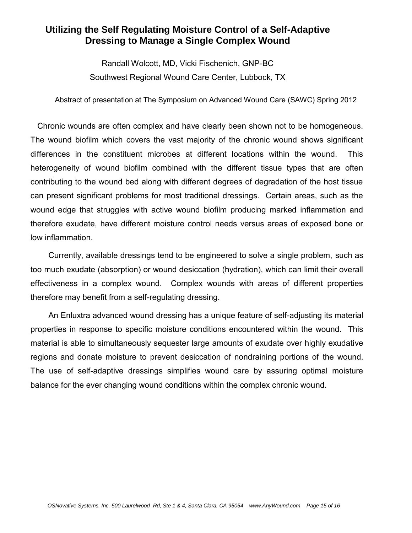## **Utilizing the Self Regulating Moisture Control of a Self-Adaptive Dressing to Manage a Single Complex Wound**

Randall Wolcott, MD, Vicki Fischenich, GNP-BC Southwest Regional Wound Care Center, Lubbock, TX

Abstract of presentation at The Symposium on Advanced Wound Care (SAWC) Spring 2012

 Chronic wounds are often complex and have clearly been shown not to be homogeneous. The wound biofilm which covers the vast majority of the chronic wound shows significant differences in the constituent microbes at different locations within the wound. This heterogeneity of wound biofilm combined with the different tissue types that are often contributing to the wound bed along with different degrees of degradation of the host tissue can present significant problems for most traditional dressings. Certain areas, such as the wound edge that struggles with active wound biofilm producing marked inflammation and therefore exudate, have different moisture control needs versus areas of exposed bone or low inflammation.

Currently, available dressings tend to be engineered to solve a single problem, such as too much exudate (absorption) or wound desiccation (hydration), which can limit their overall effectiveness in a complex wound. Complex wounds with areas of different properties therefore may benefit from a self-regulating dressing.

An Enluxtra advanced wound dressing has a unique feature of self-adjusting its material properties in response to specific moisture conditions encountered within the wound. This material is able to simultaneously sequester large amounts of exudate over highly exudative regions and donate moisture to prevent desiccation of nondraining portions of the wound. The use of self-adaptive dressings simplifies wound care by assuring optimal moisture balance for the ever changing wound conditions within the complex chronic wound.